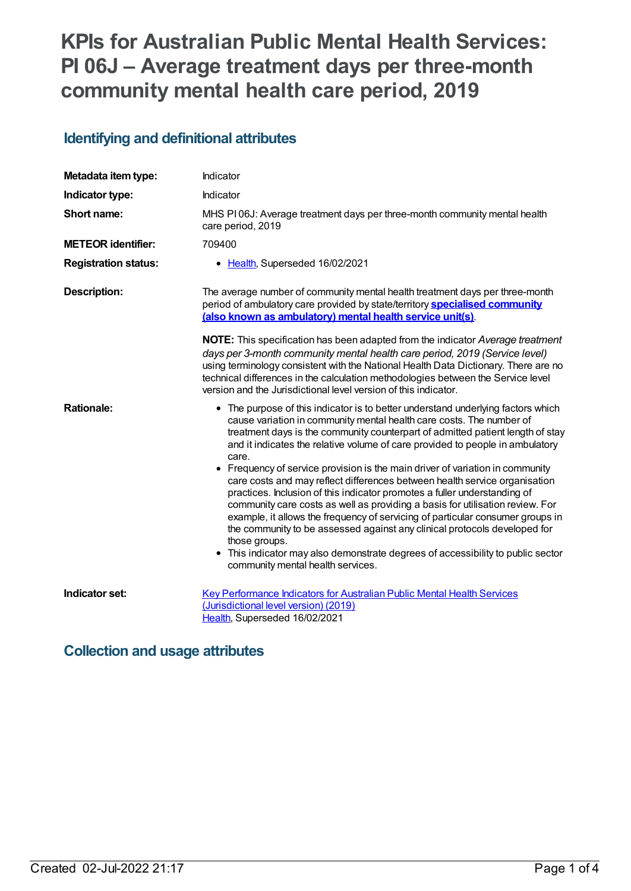# **KPIs for Australian Public Mental Health Services: PI 06J – Average treatment days per three-month community mental health care period, 2019**

## **Identifying and definitional attributes**

| Metadata item type:         | Indicator                                                                                                                                                                                                                                                                                                                                                                                                                                                                                                                                                                                                                                                                                                                                                                                                                                                                                                                                                               |
|-----------------------------|-------------------------------------------------------------------------------------------------------------------------------------------------------------------------------------------------------------------------------------------------------------------------------------------------------------------------------------------------------------------------------------------------------------------------------------------------------------------------------------------------------------------------------------------------------------------------------------------------------------------------------------------------------------------------------------------------------------------------------------------------------------------------------------------------------------------------------------------------------------------------------------------------------------------------------------------------------------------------|
| Indicator type:             | Indicator                                                                                                                                                                                                                                                                                                                                                                                                                                                                                                                                                                                                                                                                                                                                                                                                                                                                                                                                                               |
| Short name:                 | MHS PI06J: Average treatment days per three-month community mental health<br>care period, 2019                                                                                                                                                                                                                                                                                                                                                                                                                                                                                                                                                                                                                                                                                                                                                                                                                                                                          |
| <b>METEOR identifier:</b>   | 709400                                                                                                                                                                                                                                                                                                                                                                                                                                                                                                                                                                                                                                                                                                                                                                                                                                                                                                                                                                  |
| <b>Registration status:</b> | • Health, Superseded 16/02/2021                                                                                                                                                                                                                                                                                                                                                                                                                                                                                                                                                                                                                                                                                                                                                                                                                                                                                                                                         |
| <b>Description:</b>         | The average number of community mental health treatment days per three-month<br>period of ambulatory care provided by state/territory <b>specialised community</b><br>(also known as ambulatory) mental health service unit(s).                                                                                                                                                                                                                                                                                                                                                                                                                                                                                                                                                                                                                                                                                                                                         |
|                             | NOTE: This specification has been adapted from the indicator Average treatment<br>days per 3-month community mental health care period, 2019 (Service level)<br>using terminology consistent with the National Health Data Dictionary. There are no<br>technical differences in the calculation methodologies between the Service level<br>version and the Jurisdictional level version of this indicator.                                                                                                                                                                                                                                                                                                                                                                                                                                                                                                                                                              |
| <b>Rationale:</b>           | • The purpose of this indicator is to better understand underlying factors which<br>cause variation in community mental health care costs. The number of<br>treatment days is the community counterpart of admitted patient length of stay<br>and it indicates the relative volume of care provided to people in ambulatory<br>care.<br>• Frequency of service provision is the main driver of variation in community<br>care costs and may reflect differences between health service organisation<br>practices. Inclusion of this indicator promotes a fuller understanding of<br>community care costs as well as providing a basis for utilisation review. For<br>example, it allows the frequency of servicing of particular consumer groups in<br>the community to be assessed against any clinical protocols developed for<br>those groups.<br>This indicator may also demonstrate degrees of accessibility to public sector<br>community mental health services. |
| Indicator set:              | <b>Key Performance Indicators for Australian Public Mental Health Services</b><br>(Jurisdictional level version) (2019)<br>Health, Superseded 16/02/2021                                                                                                                                                                                                                                                                                                                                                                                                                                                                                                                                                                                                                                                                                                                                                                                                                |

### **Collection and usage attributes**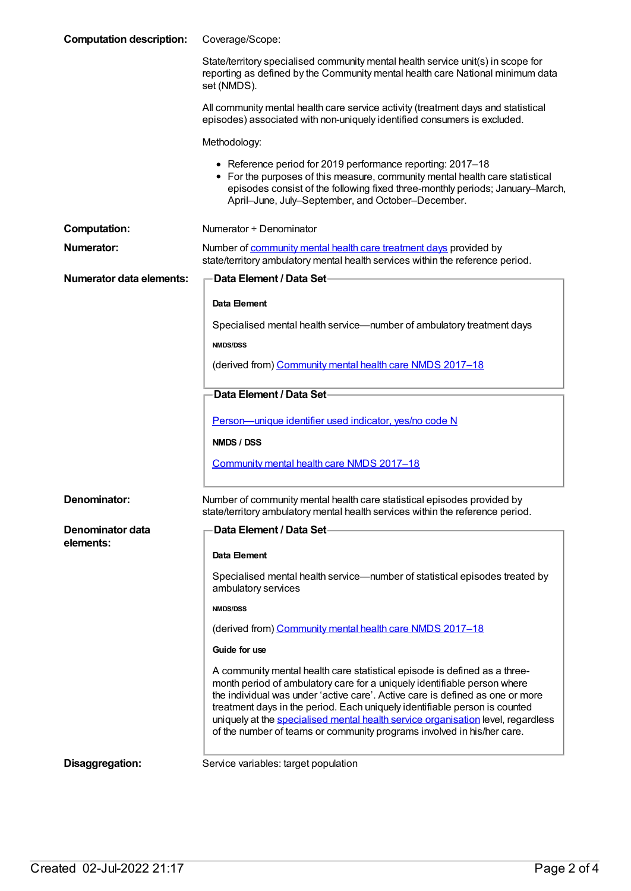| <b>Computation description:</b> | Coverage/Scope:                                                                                                                                                                                                                                                                                                                                                                                                                                                                    |
|---------------------------------|------------------------------------------------------------------------------------------------------------------------------------------------------------------------------------------------------------------------------------------------------------------------------------------------------------------------------------------------------------------------------------------------------------------------------------------------------------------------------------|
|                                 | State/territory specialised community mental health service unit(s) in scope for<br>reporting as defined by the Community mental health care National minimum data<br>set (NMDS).                                                                                                                                                                                                                                                                                                  |
|                                 | All community mental health care service activity (treatment days and statistical<br>episodes) associated with non-uniquely identified consumers is excluded.                                                                                                                                                                                                                                                                                                                      |
|                                 | Methodology:                                                                                                                                                                                                                                                                                                                                                                                                                                                                       |
|                                 | • Reference period for 2019 performance reporting: 2017-18<br>• For the purposes of this measure, community mental health care statistical<br>episodes consist of the following fixed three-monthly periods; January-March,<br>April-June, July-September, and October-December.                                                                                                                                                                                                   |
| <b>Computation:</b>             | Numerator + Denominator                                                                                                                                                                                                                                                                                                                                                                                                                                                            |
| <b>Numerator:</b>               | Number of community mental health care treatment days provided by<br>state/territory ambulatory mental health services within the reference period.                                                                                                                                                                                                                                                                                                                                |
| <b>Numerator data elements:</b> | <b>Data Element / Data Set-</b>                                                                                                                                                                                                                                                                                                                                                                                                                                                    |
|                                 | Data Element                                                                                                                                                                                                                                                                                                                                                                                                                                                                       |
|                                 | Specialised mental health service—number of ambulatory treatment days                                                                                                                                                                                                                                                                                                                                                                                                              |
|                                 | <b>NMDS/DSS</b>                                                                                                                                                                                                                                                                                                                                                                                                                                                                    |
|                                 | (derived from) Community mental health care NMDS 2017-18                                                                                                                                                                                                                                                                                                                                                                                                                           |
|                                 | Data Element / Data Set                                                                                                                                                                                                                                                                                                                                                                                                                                                            |
|                                 | Person-unique identifier used indicator, yes/no code N                                                                                                                                                                                                                                                                                                                                                                                                                             |
|                                 | NMDS / DSS                                                                                                                                                                                                                                                                                                                                                                                                                                                                         |
|                                 | Community mental health care NMDS 2017-18                                                                                                                                                                                                                                                                                                                                                                                                                                          |
|                                 |                                                                                                                                                                                                                                                                                                                                                                                                                                                                                    |
| Denominator:                    | Number of community mental health care statistical episodes provided by<br>state/territory ambulatory mental health services within the reference period.                                                                                                                                                                                                                                                                                                                          |
| Denominator data                | Data Element / Data Set-                                                                                                                                                                                                                                                                                                                                                                                                                                                           |
| elements:                       | Data Element                                                                                                                                                                                                                                                                                                                                                                                                                                                                       |
|                                 | Specialised mental health service-number of statistical episodes treated by<br>ambulatory services                                                                                                                                                                                                                                                                                                                                                                                 |
|                                 | <b>NMDS/DSS</b>                                                                                                                                                                                                                                                                                                                                                                                                                                                                    |
|                                 | (derived from) Community mental health care NMDS 2017-18                                                                                                                                                                                                                                                                                                                                                                                                                           |
|                                 | Guide for use                                                                                                                                                                                                                                                                                                                                                                                                                                                                      |
|                                 | A community mental health care statistical episode is defined as a three-<br>month period of ambulatory care for a uniquely identifiable person where<br>the individual was under 'active care'. Active care is defined as one or more<br>treatment days in the period. Each uniquely identifiable person is counted<br>uniquely at the specialised mental health service organisation level, regardless<br>of the number of teams or community programs involved in his/her care. |
| Disaggregation:                 | Service variables: target population                                                                                                                                                                                                                                                                                                                                                                                                                                               |
|                                 |                                                                                                                                                                                                                                                                                                                                                                                                                                                                                    |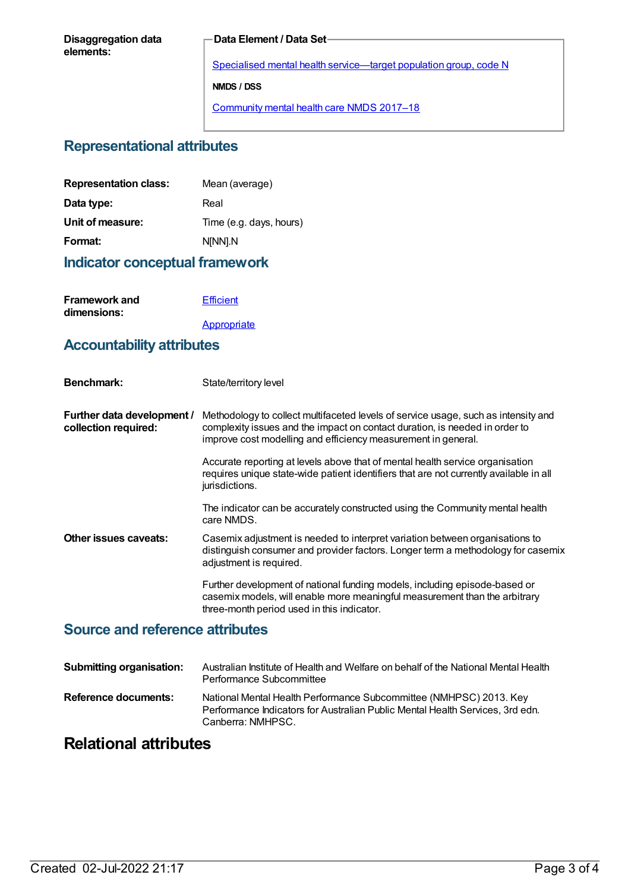#### **Data Element / Data Set**

Specialised mental health [service—target](https://meteor.aihw.gov.au/content/493010) population group, code N **NMDS / DSS** [Community](https://meteor.aihw.gov.au/content/645692) mental health care NMDS 2017–18

#### **Representational attributes**

| <b>Representation class:</b> | Mean (average)          |
|------------------------------|-------------------------|
| Data type:                   | Real                    |
| Unit of measure:             | Time (e.g. days, hours) |
| Format:                      | N[NN].N                 |
|                              |                         |

#### **Indicator conceptual framework**

| <b>Framework and</b> | <b>Efficient</b> |
|----------------------|------------------|
| dimensions:          |                  |
|                      | Appropriate      |

#### **Accountability attributes**

| <b>Benchmark:</b>                                  | State/territory level                                                                                                                                                                                                              |
|----------------------------------------------------|------------------------------------------------------------------------------------------------------------------------------------------------------------------------------------------------------------------------------------|
| Further data development /<br>collection required: | Methodology to collect multifaceted levels of service usage, such as intensity and<br>complexity issues and the impact on contact duration, is needed in order to<br>improve cost modelling and efficiency measurement in general. |
|                                                    | Accurate reporting at levels above that of mental health service organisation<br>requires unique state-wide patient identifiers that are not currently available in all<br>jurisdictions.                                          |
|                                                    | The indicator can be accurately constructed using the Community mental health<br>care NMDS.                                                                                                                                        |
| Other issues caveats:                              | Casemix adjustment is needed to interpret variation between organisations to<br>distinguish consumer and provider factors. Longer term a methodology for casemix<br>adjustment is required.                                        |
|                                                    | Further development of national funding models, including episode-based or<br>casemix models, will enable more meaningful measurement than the arbitrary<br>three-month period used in this indicator.                             |

#### **Source and reference attributes**

| <b>Submitting organisation:</b> | Australian Institute of Health and Welfare on behalf of the National Mental Health<br>Performance Subcommittee                                                           |
|---------------------------------|--------------------------------------------------------------------------------------------------------------------------------------------------------------------------|
| <b>Reference documents:</b>     | National Mental Health Performance Subcommittee (NMHPSC) 2013. Key<br>Performance Indicators for Australian Public Mental Health Services, 3rd edn.<br>Canberra: NMHPSC. |

# **Relational attributes**